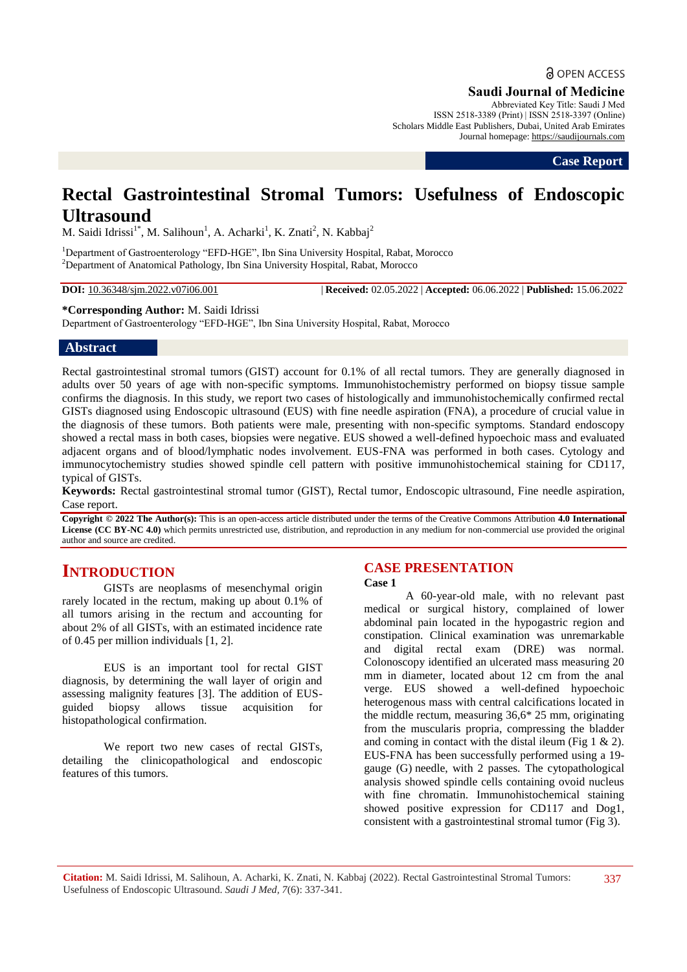# **a** OPEN ACCESS

**Saudi Journal of Medicine**

Abbreviated Key Title: Saudi J Med ISSN 2518-3389 (Print) | ISSN 2518-3397 (Online) Scholars Middle East Publishers, Dubai, United Arab Emirates Journal homepage: https://saudijournals.com

**Case Report**

## **Rectal Gastrointestinal Stromal Tumors: Usefulness of Endoscopic Ultrasound**

M. Saidi Idrissi<sup>1\*</sup>, M. Salihoun<sup>1</sup>, A. Acharki<sup>1</sup>, K. Znati<sup>2</sup>, N. Kabbaj<sup>2</sup>

<sup>1</sup>Department of Gastroenterology "EFD-HGE", Ibn Sina University Hospital, Rabat, Morocco <sup>2</sup>Department of Anatomical Pathology, Ibn Sina University Hospital, Rabat, Morocco

**DOI:** 10.36348/sjm.2022.v07i06.001 | **Received:** 02.05.2022 | **Accepted:** 06.06.2022 | **Published:** 15.06.2022

**\*Corresponding Author:** M. Saidi Idrissi

Department of Gastroenterology "EFD-HGE", Ibn Sina University Hospital, Rabat, Morocco

#### **Abstract**

Rectal gastrointestinal stromal tumors (GIST) account for 0.1% of all rectal tumors. They are generally diagnosed in adults over 50 years of age with non-specific symptoms. Immunohistochemistry performed on biopsy tissue sample confirms the diagnosis. In this study, we report two cases of histologically and immunohistochemically confirmed rectal GISTs diagnosed using Endoscopic ultrasound (EUS) with fine needle aspiration (FNA), a procedure of crucial value in the diagnosis of these tumors. Both patients were male, presenting with non-specific symptoms. Standard endoscopy showed a rectal mass in both cases, biopsies were negative. EUS showed a well-defined hypoechoic mass and evaluated adjacent organs and of blood/lymphatic nodes involvement. EUS-FNA was performed in both cases. Cytology and immunocytochemistry studies showed spindle cell pattern with positive immunohistochemical staining for CD117, typical of GISTs.

**Keywords:** Rectal gastrointestinal stromal tumor (GIST), Rectal tumor, Endoscopic ultrasound, Fine needle aspiration, Case report.

**Copyright © 2022 The Author(s):** This is an open-access article distributed under the terms of the Creative Commons Attribution **4.0 International License (CC BY-NC 4.0)** which permits unrestricted use, distribution, and reproduction in any medium for non-commercial use provided the original author and source are credited.

## **INTRODUCTION**

GISTs are neoplasms of mesenchymal origin rarely located in the rectum, making up about 0.1% of all tumors arising in the rectum and accounting for about 2% of all GISTs, with an estimated incidence rate of 0.45 per million individuals [1, 2].

EUS is an important tool for rectal GIST diagnosis, by determining the wall layer of origin and assessing malignity features [3]. The addition of EUSguided biopsy allows tissue acquisition for histopathological confirmation.

We report two new cases of rectal GISTs, detailing the clinicopathological and endoscopic features of this tumors.

## **CASE PRESENTATION**

**Case 1**

A 60-year-old male, with no relevant past medical or surgical history, complained of lower abdominal pain located in the hypogastric region and constipation. Clinical examination was unremarkable and digital rectal exam (DRE) was normal. Colonoscopy identified an ulcerated mass measuring 20 mm in diameter, located about 12 cm from the anal verge. EUS showed a well-defined hypoechoic heterogenous mass with central calcifications located in the middle rectum, measuring 36,6\* 25 mm, originating from the muscularis propria, compressing the bladder and coming in contact with the distal ileum (Fig 1  $\&$  2). EUS-FNA has been successfully performed using a 19 gauge (G) needle, with 2 passes. The cytopathological analysis showed spindle cells containing ovoid nucleus with fine chromatin. Immunohistochemical staining showed positive expression for CD117 and Dog1, consistent with a gastrointestinal stromal tumor (Fig 3).

**Citation:** M. Saidi Idrissi, M. Salihoun, A. Acharki, K. Znati, N. Kabbaj (2022). Rectal Gastrointestinal Stromal Tumors: Usefulness of Endoscopic Ultrasound. *Saudi J Med, 7*(6): 337-341.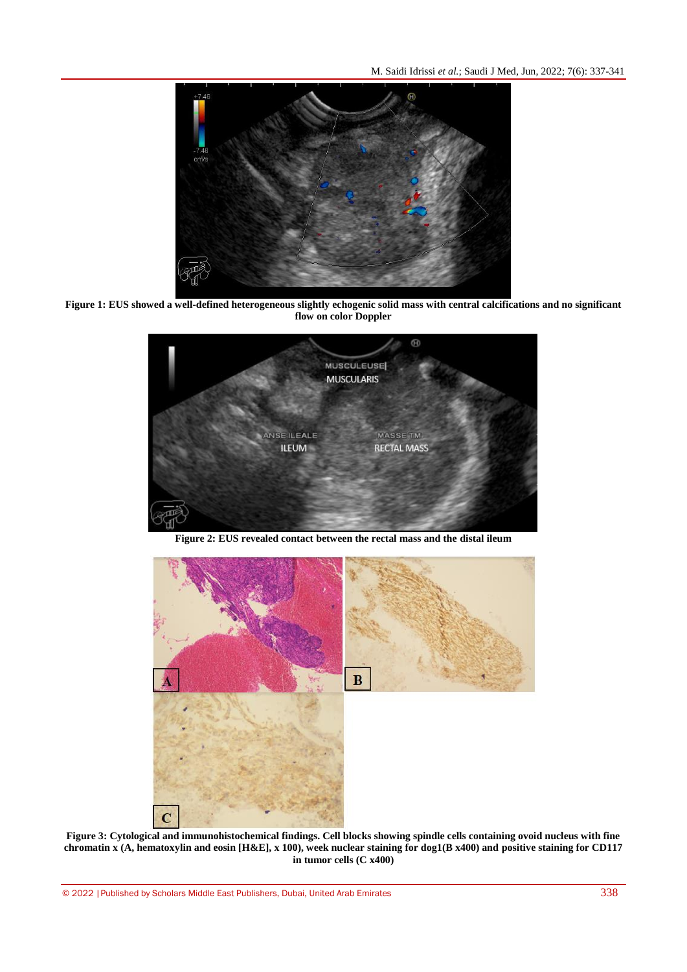M. Saidi Idrissi *et al.*; Saudi J Med, Jun, 2022; 7(6): 337-341



**Figure 1: EUS showed a well-defined heterogeneous slightly echogenic solid mass with central calcifications and no significant flow on color Doppler**



**Figure 2: EUS revealed contact between the rectal mass and the distal ileum**



**Figure 3: Cytological and immunohistochemical findings. Cell blocks showing spindle cells containing ovoid nucleus with fine chromatin x (A, hematoxylin and eosin [H&E], x 100), week nuclear staining for dog1(B x400) and positive staining for CD117 in tumor cells (C x400)**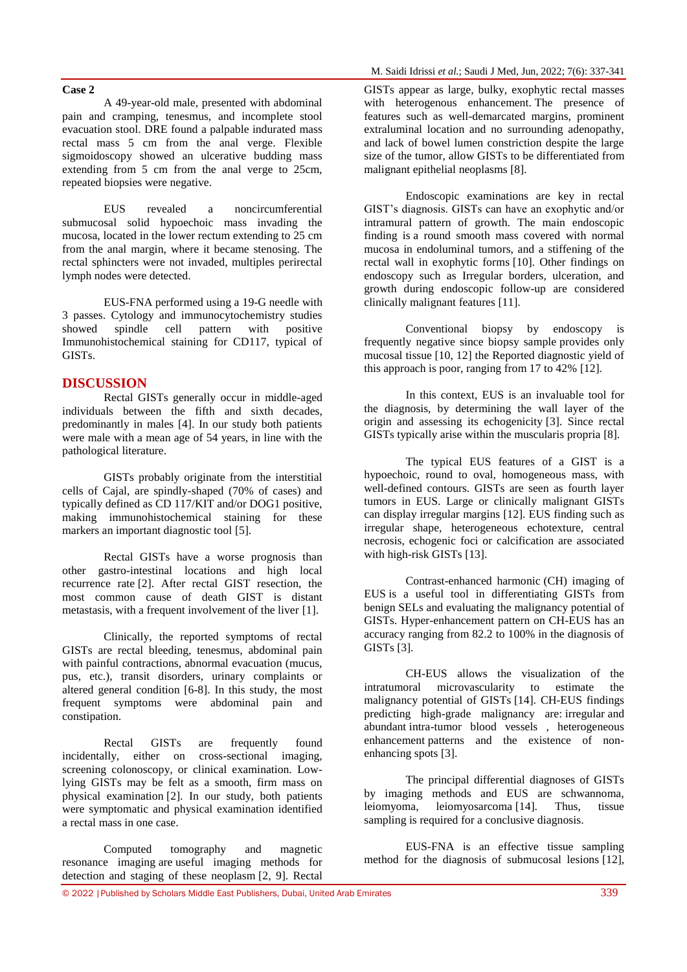#### **Case 2**

A 49-year-old male, presented with abdominal pain and cramping, tenesmus, and incomplete stool evacuation stool. DRE found a palpable indurated mass rectal mass 5 cm from the anal verge. Flexible sigmoidoscopy showed an ulcerative budding mass extending from 5 cm from the anal verge to 25cm, repeated biopsies were negative.

EUS revealed a noncircumferential submucosal solid hypoechoic mass invading the mucosa, located in the lower rectum extending to 25 cm from the anal margin, where it became stenosing. The rectal sphincters were not invaded, multiples perirectal lymph nodes were detected.

EUS-FNA performed using a 19-G needle with 3 passes. Cytology and immunocytochemistry studies showed spindle cell pattern with positive Immunohistochemical staining for CD117, typical of GISTs.

#### **DISCUSSION**

Rectal GISTs generally occur in middle-aged individuals between the fifth and sixth decades, predominantly in males [4]. In our study both patients were male with a mean age of 54 years, in line with the pathological literature.

GISTs probably originate from the interstitial cells of Cajal, are spindly-shaped (70% of cases) and typically defined as CD 117/KIT and/or DOG1 positive, making immunohistochemical staining for these markers an important diagnostic tool [5].

Rectal GISTs have a worse prognosis than other gastro-intestinal locations and high local recurrence rate [2]. After rectal GIST resection, the most common cause of death GIST is distant metastasis, with a frequent involvement of the liver [1].

Clinically, the reported symptoms of rectal GISTs are rectal bleeding, tenesmus, abdominal pain with painful contractions, abnormal evacuation (mucus, pus, etc.), transit disorders, urinary complaints or altered general condition [6-8]. In this study, the most frequent symptoms were abdominal pain and constipation.

Rectal GISTs are frequently found incidentally, either on cross-sectional imaging, screening colonoscopy, or clinical examination. Lowlying GISTs may be felt as a smooth, firm mass on physical examination [2]. In our study, both patients were symptomatic and physical examination identified a rectal mass in one case.

Computed tomography and magnetic resonance imaging are useful imaging methods for detection and staging of these neoplasm [2, 9]. Rectal

GISTs appear as large, bulky, exophytic rectal masses with heterogenous enhancement. The presence of features such as well-demarcated margins, prominent extraluminal location and no surrounding adenopathy, and lack of bowel lumen constriction despite the large size of the tumor, allow GISTs to be differentiated from malignant epithelial neoplasms [8].

Endoscopic examinations are key in rectal GIST's diagnosis. GISTs can have an exophytic and/or intramural pattern of growth. The main endoscopic finding is a round smooth mass covered with normal mucosa in endoluminal tumors, and a stiffening of the rectal wall in exophytic forms [10]. Other findings on endoscopy such as Irregular borders, ulceration, and growth during endoscopic follow-up are considered clinically malignant features [11].

Conventional biopsy by endoscopy is frequently negative since biopsy sample provides only mucosal tissue [10, 12] the Reported diagnostic yield of this approach is poor, ranging from 17 to 42% [12].

In this context, EUS is an invaluable tool for the diagnosis, by determining the wall layer of the origin and assessing its echogenicity [3]. Since rectal GISTs typically arise within the muscularis propria [8].

The typical EUS features of a GIST is a hypoechoic, round to oval, homogeneous mass, with well-defined contours. GISTs are seen as fourth layer tumors in EUS. Large or clinically malignant GISTs can display irregular margins [12]. EUS finding such as irregular shape, heterogeneous echotexture, central necrosis, echogenic foci or calcification are associated with high-risk GISTs [13].

Contrast-enhanced harmonic (CH) imaging of EUS is a useful tool in differentiating GISTs from benign SELs and evaluating the malignancy potential of GISTs. Hyper-enhancement pattern on CH-EUS has an accuracy ranging from 82.2 to 100% in the diagnosis of GISTs [3].

CH-EUS allows the visualization of the intratumoral microvascularity to estimate the malignancy potential of GISTs [14]. CH-EUS findings predicting high-grade malignancy are: irregular and abundant intra-tumor blood vessels , heterogeneous enhancement patterns and the existence of nonenhancing spots [3].

The principal differential diagnoses of GISTs by imaging methods and EUS are schwannoma, leiomyoma, leiomyosarcoma [14]. Thus, tissue sampling is required for a conclusive diagnosis.

EUS-FNA is an effective tissue sampling method for the diagnosis of submucosal lesions [12],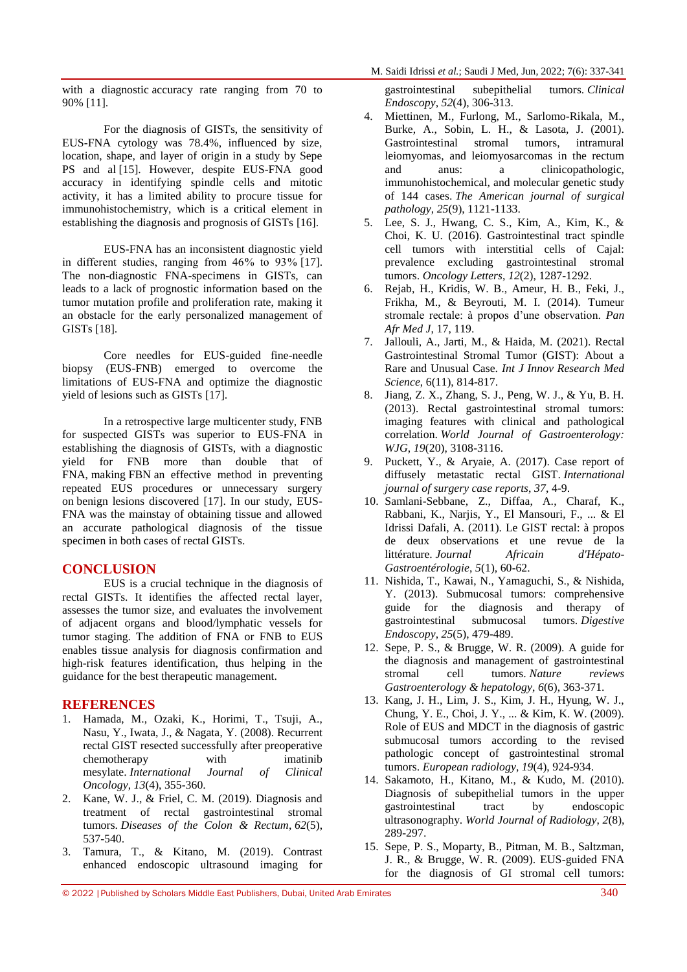with a diagnostic accuracy rate ranging from 70 to 90% [11].

For the diagnosis of GISTs, the sensitivity of EUS-FNA cytology was 78.4%, influenced by size, location, shape, and layer of origin in a study by Sepe PS and al [15]. However, despite EUS-FNA good accuracy in identifying spindle cells and mitotic activity, it has a limited ability to procure tissue for immunohistochemistry, which is a critical element in establishing the diagnosis and prognosis of GISTs [16].

EUS-FNA has an inconsistent diagnostic yield in different studies, ranging from 46 % to 93 % [17]. The non-diagnostic FNA-specimens in GISTs, can leads to a lack of prognostic information based on the tumor mutation profile and proliferation rate, making it an obstacle for the early personalized management of GISTs [18].

Core needles for EUS-guided fine-needle biopsy (EUS-FNB) emerged to overcome the limitations of EUS-FNA and optimize the diagnostic yield of lesions such as GISTs [17].

In a retrospective large multicenter study, FNB for suspected GISTs was superior to EUS-FNA in establishing the diagnosis of GISTs, with a diagnostic yield for FNB more than double that of FNA, making FBN an effective method in preventing repeated EUS procedures or unnecessary surgery on benign lesions discovered [17]. In our study, EUS-FNA was the mainstay of obtaining tissue and allowed an accurate pathological diagnosis of the tissue specimen in both cases of rectal GISTs.

#### **CONCLUSION**

EUS is a crucial technique in the diagnosis of rectal GISTs. It identifies the affected rectal layer, assesses the tumor size, and evaluates the involvement of adjacent organs and blood/lymphatic vessels for tumor staging. The addition of FNA or FNB to EUS enables tissue analysis for diagnosis confirmation and high-risk features identification, thus helping in the guidance for the best therapeutic management.

#### **REFERENCES**

- 1. Hamada, M., Ozaki, K., Horimi, T., Tsuji, A., Nasu, Y., Iwata, J., & Nagata, Y. (2008). Recurrent rectal GIST resected successfully after preoperative chemotherapy with imatinib mesylate. *International Journal of Clinical Oncology*, *13*(4), 355-360.
- 2. Kane, W. J., & Friel, C. M. (2019). Diagnosis and treatment of rectal gastrointestinal stromal tumors. *Diseases of the Colon & Rectum*, *62*(5), 537-540.
- 3. Tamura, T., & Kitano, M. (2019). Contrast enhanced endoscopic ultrasound imaging for

gastrointestinal subepithelial tumors. *Clinical Endoscopy*, *52*(4), 306-313.

- 4. Miettinen, M., Furlong, M., Sarlomo-Rikala, M., Burke, A., Sobin, L. H., & Lasota, J. (2001). Gastrointestinal stromal tumors, intramural leiomyomas, and leiomyosarcomas in the rectum and anus: a clinicopathologic, immunohistochemical, and molecular genetic study of 144 cases. *The American journal of surgical pathology*, *25*(9), 1121-1133.
- 5. Lee, S. J., Hwang, C. S., Kim, A., Kim, K., & Choi, K. U. (2016). Gastrointestinal tract spindle cell tumors with interstitial cells of Cajal: prevalence excluding gastrointestinal stromal tumors. *Oncology Letters*, *12*(2), 1287-1292.
- 6. Rejab, H., Kridis, W. B., Ameur, H. B., Feki, J., Frikha, M., & Beyrouti, M. I. (2014). Tumeur stromale rectale: à propos d'une observation. *Pan Afr Med J*, 17, 119.
- 7. Jallouli, A., Jarti, M., & Haida, M. (2021). Rectal Gastrointestinal Stromal Tumor (GIST): About a Rare and Unusual Case. *Int J Innov Research Med Science*, 6(11), 814-817.
- 8. Jiang, Z. X., Zhang, S. J., Peng, W. J., & Yu, B. H. (2013). Rectal gastrointestinal stromal tumors: imaging features with clinical and pathological correlation. *World Journal of Gastroenterology: WJG*, *19*(20), 3108-3116.
- 9. Puckett, Y., & Aryaie, A. (2017). Case report of diffusely metastatic rectal GIST. *International journal of surgery case reports*, *37*, 4-9.
- 10. Samlani-Sebbane, Z., Diffaa, A., Charaf, K., Rabbani, K., Narjis, Y., El Mansouri, F., ... & El Idrissi Dafali, A. (2011). Le GIST rectal: à propos de deux observations et une revue de la littérature. *Journal Africain d'Hépato-Gastroentérologie*, *5*(1), 60-62.
- 11. Nishida, T., Kawai, N., Yamaguchi, S., & Nishida, Y. (2013). Submucosal tumors: comprehensive guide for the diagnosis and therapy of gastrointestinal submucosal tumors. *Digestive Endoscopy*, *25*(5), 479-489.
- 12. Sepe, P. S., & Brugge, W. R. (2009). A guide for the diagnosis and management of gastrointestinal stromal cell tumors. *Nature reviews Gastroenterology & hepatology*, *6*(6), 363-371.
- 13. Kang, J. H., Lim, J. S., Kim, J. H., Hyung, W. J., Chung, Y. E., Choi, J. Y., ... & Kim, K. W. (2009). Role of EUS and MDCT in the diagnosis of gastric submucosal tumors according to the revised pathologic concept of gastrointestinal stromal tumors. *European radiology*, *19*(4), 924-934.
- 14. Sakamoto, H., Kitano, M., & Kudo, M. (2010). Diagnosis of subepithelial tumors in the upper gastrointestinal tract by endoscopic ultrasonography. *World Journal of Radiology*, *2*(8), 289-297.
- 15. Sepe, P. S., Moparty, B., Pitman, M. B., Saltzman, J. R., & Brugge, W. R. (2009). EUS-guided FNA for the diagnosis of GI stromal cell tumors:
- © 2022 |Published by Scholars Middle East Publishers, Dubai, United Arab Emirates 340